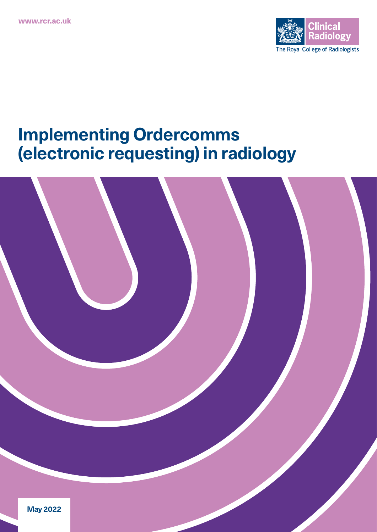

# **Implementing Ordercomms (electronic requesting) in radiology**

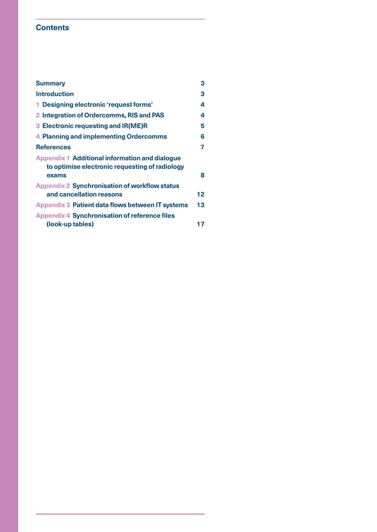# **Contents**

| <b>Summary</b>                                                                                                   | 3                 |
|------------------------------------------------------------------------------------------------------------------|-------------------|
| <b>Introduction</b>                                                                                              | 3                 |
| 1 Designing electronic 'request forms'                                                                           | 4                 |
| 2 Integration of Ordercomms, RIS and PAS                                                                         | 4                 |
| 3 Electronic requesting and IR(ME)R                                                                              | 5                 |
| <b>4 Planning and implementing Ordercomms</b>                                                                    | 6                 |
| <b>References</b>                                                                                                | 7                 |
| <b>Appendix 1 Additional information and dialogue</b><br>to optimise electronic requesting of radiology<br>exams | 8                 |
| <b>Appendix 2 Synchronisation of workflow status</b><br>and cancellation reasons                                 | $12 \overline{ }$ |
| Appendix 3 Patient data flows between IT systems                                                                 | 13                |
| <b>Appendix 4 Synchronisation of reference files</b><br>(look-up tables)                                         | 17                |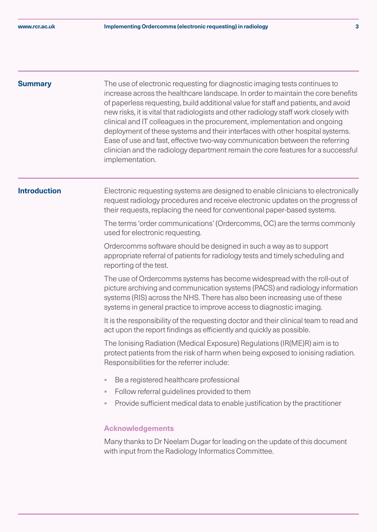<span id="page-2-0"></span>**Summary** The use of electronic requesting for diagnostic imaging tests continues to increase across the healthcare landscape. In order to maintain the core benefits of paperless requesting, build additional value for staff and patients, and avoid new risks, it is vital that radiologists and other radiology staff work closely with clinical and IT colleagues in the procurement, implementation and ongoing deployment of these systems and their interfaces with other hospital systems. Ease of use and fast, effective two-way communication between the referring clinician and the radiology department remain the core features for a successful implementation.

**Introduction** Electronic requesting systems are designed to enable clinicians to electronically request radiology procedures and receive electronic updates on the progress of their requests, replacing the need for conventional paper-based systems.

> The terms 'order communications' (Ordercomms, OC) are the terms commonly used for electronic requesting.

Ordercomms software should be designed in such a way as to support appropriate referral of patients for radiology tests and timely scheduling and reporting of the test.

The use of Ordercomms systems has become widespread with the roll-out of picture archiving and communication systems (PACS) and radiology information systems (RIS) across the NHS. There has also been increasing use of these systems in general practice to improve access to diagnostic imaging.

It is the responsibility of the requesting doctor and their clinical team to read and act upon the report findings as efficiently and quickly as possible.

The Ionising Radiation (Medical Exposure) Regulations (IR(ME)R) aim is to protect patients from the risk of harm when being exposed to ionising radiation. Responsibilities for the referrer include:

- § Be a registered healthcare professional
- Follow referral quidelines provided to them
- § Provide sufficient medical data to enable justification by the practitioner

### **Acknowledgements**

Many thanks to Dr Neelam Dugar for leading on the update of this document with input from the Radiology Informatics Committee.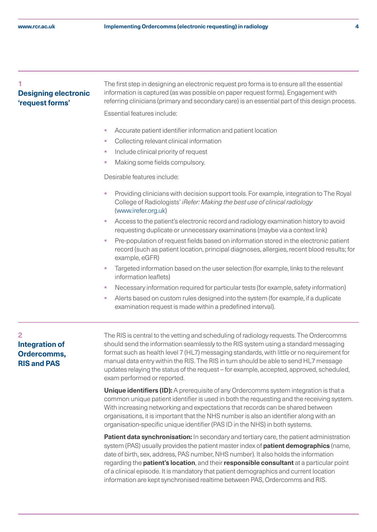# <span id="page-3-0"></span>**1 Designing electronic 'request forms'**

The first step in designing an electronic request pro forma is to ensure all the essential information is captured (as was possible on paper request forms). Engagement with referring clinicians (primary and secondary care) is an essential part of this design process.

Essential features include:

- Accurate patient identifier information and patient location
- § Collecting relevant clinical information
- § Include clinical priority of request
- § Making some fields compulsory.

Desirable features include:

- § Providing clinicians with decision support tools. For example, integration to The Royal College of Radiologists' *iRefer: Making the best use of clinical radiology* [\(www.irefer.org.uk\)](https://www.irefer.org.uk)
- § Access to the patient's electronic record and radiology examination history to avoid requesting duplicate or unnecessary examinations (maybe via a context link)
- § Pre-population of request fields based on information stored in the electronic patient record (such as patient location, principal diagnoses, allergies, recent blood results; for example, eGFR)
- Targeted information based on the user selection (for example, links to the relevant information leaflets)
- Necessary information required for particular tests (for example, safety information)
- § Alerts based on custom rules designed into the system (for example, if a duplicate examination request is made within a predefined interval).

# **2 Integration of Ordercomms, RIS and PAS**

The RIS is central to the vetting and scheduling of radiology requests. The Ordercomms should send the information seamlessly to the RIS system using a standard messaging format such as health level 7 (HL7) messaging standards, with little or no requirement for manual data entry within the RIS. The RIS in turn should be able to send HL7 message updates relaying the status of the request – for example, accepted, approved, scheduled, exam performed or reported.

**Unique identifiers (ID):** A prerequisite of any Ordercomms system integration is that a common unique patient identifier is used in both the requesting and the receiving system. With increasing networking and expectations that records can be shared between organisations, it is important that the NHS number is also an identifier along with an organisation-specific unique identifier (PAS ID in the NHS) in both systems.

**Patient data synchronisation:** In secondary and tertiary care, the patient administration system (PAS) usually provides the patient master index of **patient demographics** (name, date of birth, sex, address, PAS number, NHS number). It also holds the information regarding the **patient's location**, and their **responsible consultant** at a particular point of a clinical episode. It is mandatory that patient demographics and current location information are kept synchronised realtime between PAS, Ordercomms and RIS.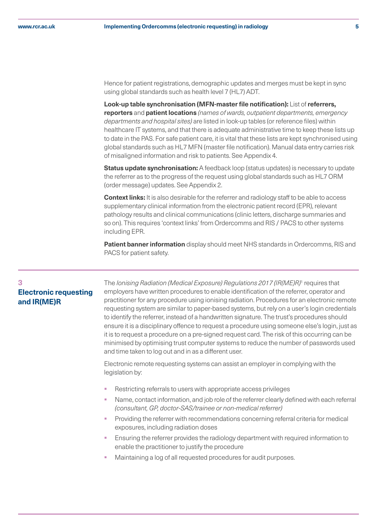<span id="page-4-0"></span>Hence for patient registrations, demographic updates and merges must be kept in sync using global standards such as health level 7 (HL7) ADT.

**Look-up table synchronisation (MFN-master file notification):** List of **referrers, reporters** and **patient locations** *(names of wards, outpatient departments, emergency departments and hospital sites)* are listed in look-up tables (or reference files) within healthcare IT systems, and that there is adequate administrative time to keep these lists up to date in the PAS. For safe patient care, it is vital that these lists are kept synchronised using global standards such as HL7 MFN (master file notification). Manual data entry carries risk of misaligned information and risk to patients. See Appendix 4.

**Status update synchronisation:** A feedback loop (status updates) is necessary to update the referrer as to the progress of the request using global standards such as HL7 ORM (order message) updates. See Appendix 2.

**Context links:** It is also desirable for the referrer and radiology staff to be able to access supplementary clinical information from the electronic patient record (EPR), relevant pathology results and clinical communications (clinic letters, discharge summaries and so on). This requires 'context links' from Ordercomms and RIS / PACS to other systems including EPR.

**Patient banner information** display should meet NHS standards in Ordercomms, RIS and PACS for patient safety.

# **3 Electronic requesting and IR(ME)R**

The *Ionising Radiation (Medical Exposure) Regulations 2017 (IR(ME)R)*<sup>1</sup> requires that employers have written procedures to enable identification of the referrer, operator and practitioner for any procedure using ionising radiation. Procedures for an electronic remote requesting system are similar to paper-based systems, but rely on a user's login credentials to identify the referrer, instead of a handwritten signature. The trust's procedures should ensure it is a disciplinary offence to request a procedure using someone else's login, just as it is to request a procedure on a pre-signed request card. The risk of this occurring can be minimised by optimising trust computer systems to reduce the number of passwords used and time taken to log out and in as a different user.

Electronic remote requesting systems can assist an employer in complying with the legislation by:

- § Restricting referrals to users with appropriate access privileges
- Name, contact information, and job role of the referrer clearly defined with each referral *(consultant, GP, doctor-SAS/trainee or non-medical referrer)*
- § Providing the referrer with recommendations concerning referral criteria for medical exposures, including radiation doses
- Ensuring the referrer provides the radiology department with required information to enable the practitioner to justify the procedure
- § Maintaining a log of all requested procedures for audit purposes.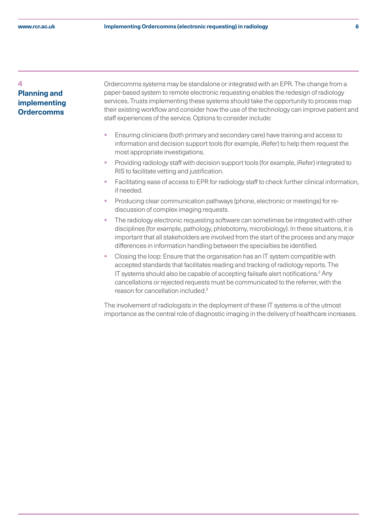### <span id="page-5-0"></span>**4**

# **Planning and implementing Ordercomms**

Ordercomms systems may be standalone or integrated with an EPR. The change from a paper-based system to remote electronic requesting enables the redesign of radiology services. Trusts implementing these systems should take the opportunity to process map their existing workflow and consider how the use of the technology can improve patient and staff experiences of the service. Options to consider include:

- § Ensuring clinicians (both primary and secondary care) have training and access to information and decision support tools (for example, iRefer) to help them request the most appropriate investigations.
- § Providing radiology staff with decision support tools (for example, iRefer) integrated to RIS to facilitate vetting and justification.
- Facilitating ease of access to EPR for radiology staff to check further clinical information, if needed.
- § Producing clear communication pathways (phone, electronic or meetings) for rediscussion of complex imaging requests.
- The radiology electronic requesting software can sometimes be integrated with other disciplines (for example, pathology, phlebotomy, microbiology). In these situations, it is important that all stakeholders are involved from the start of the process and any major differences in information handling between the specialties be identified.
- § Closing the loop: Ensure that the organisation has an IT system compatible with accepted standards that facilitates reading and tracking of radiology reports. The IT systems should also be capable of accepting failsafe alert notifications.<sup>2</sup> Any cancellations or rejected requests must be communicated to the referrer, with the reason for cancellation included.3

The involvement of radiologists in the deployment of these IT systems is of the utmost importance as the central role of diagnostic imaging in the delivery of healthcare increases.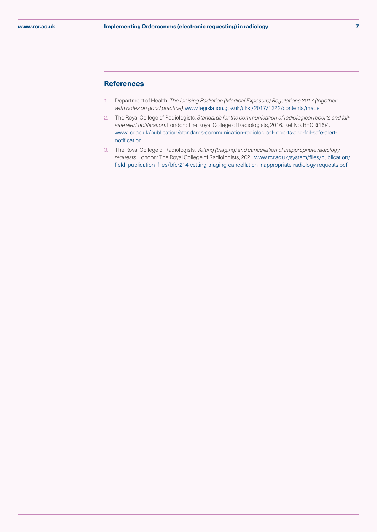#### **References**

- 1. Department of Health. *The Ionising Radiation (Medical Exposure) Regulations 2017 (together with notes on good practice).* [www.legislation.gov.uk/uksi/2017/1322/contents/made](https://www.legislation.gov.uk/uksi/2017/1322/contents/made)
- 2. The Royal College of Radiologists. *Standards for the communication of radiological reports and failsafe alert notification*. London: The Royal College of Radiologists, 2016. Ref No. BFCR(16)4. [www.rcr.ac.uk/publication/standards-communication-radiological-reports-and-fail-safe-alert](https://www.rcr.ac.uk/publication/standards-communication-radiological-reports-and-fail-safe-alert-notificat)[notification](https://www.rcr.ac.uk/publication/standards-communication-radiological-reports-and-fail-safe-alert-notificat)
- 3. The Royal College of Radiologists. *Vetting (triaging) and cancellation of inappropriate radiology requests.* London: The Royal College of Radiologists, 2021 [www.rcr.ac.uk/system/files/publication/](https://www.rcr.ac.uk/system/files/publication/field_publication_files/bfcr214-vetting-triaging-cancellation) [field\\_publication\\_files/bfcr214-vetting-triaging-cancellation-inappropriate-radiology-requests.pdf](https://www.rcr.ac.uk/system/files/publication/field_publication_files/bfcr214-vetting-triaging-cancellation)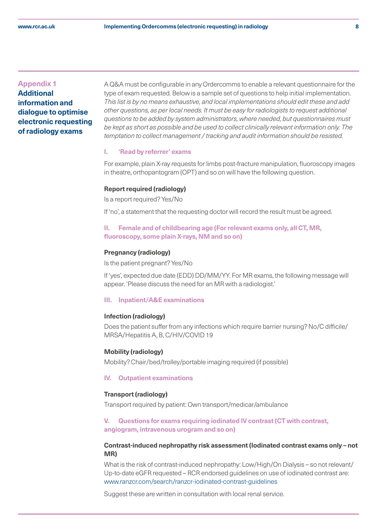# <span id="page-7-0"></span>**Appendix 1 Additional information and dialogue to optimise electronic requesting of radiology exams**

A Q&A must be configurable in any Ordercomms to enable a relevant questionnaire for the type of exam requested. Below is a sample set of questions to help initial implementation. *This list is by no means exhaustive, and local implementations should edit these and add other questions, as per local needs. It must be easy for radiologists to request additional questions to be added by system administrators, where needed, but questionnaires must be kept as short as possible and be used to collect clinically relevant information only. The temptation to collect management / tracking and audit information should be resisted.*

#### **I. 'Read by referrer' exams**

For example, plain X-ray requests for limbs post-fracture manipulation, fluoroscopy images in theatre, orthopantogram (OPT) and so on will have the following question.

#### **Report required (radiology)**

Is a report required? Yes/No

If 'no', a statement that the requesting doctor will record the result must be agreed.

## **II. Female and of childbearing age (For relevant exams only, all CT, MR, fluoroscopy, some plain X-rays, NM and so on)**

#### **Pregnancy (radiology)**

Is the patient pregnant? Yes/No

If 'yes', expected due date (EDD) DD/MM/YY. For MR exams, the following message will appear. 'Please discuss the need for an MR with a radiologist.'

#### **III. Inpatient/A&E examinations**

#### **Infection (radiology)**

Does the patient suffer from any infections which require barrier nursing? No/C difficile/ MRSA/Hepatitis A, B, C/HIV/COVID 19

#### **Mobility (radiology)**

Mobility? Chair/bed/trolley/portable imaging required (if possible)

#### **IV. Outpatient examinations**

#### **Transport (radiology)**

Transport required by patient: Own transport/medicar/ambulance

### **V. Questions for exams requiring iodinated IV contrast (CT with contrast, angiogram, intravenous urogram and so on)**

#### **Contrast-induced nephropathy risk assessment (Iodinated contrast exams only – not MR)**

What is the risk of contrast-induced nephropathy: Low/High/On Dialysis – so not relevant/ Up-to-date eGFR requested – RCR endorsed guidelines on use of iodinated contrast are: [www.ranzcr.com/search/ranzcr-iodinated-contrast-guidelines](https://www.ranzcr.com/search/ranzcr-iodinated-contrast-guidelines)

Suggest these are written in consultation with local renal service.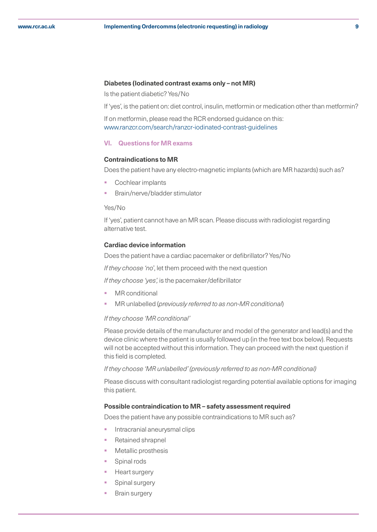#### **Diabetes (Iodinated contrast exams only – not MR)**

Is the patient diabetic? Yes/No

If 'yes', is the patient on: diet control, insulin, metformin or medication other than metformin?

If on metformin, please read the RCR endorsed guidance on this: www.ranzcr.com/search/ranzcr-iodinated-contrast-guidelines

#### **VI. Questions for MR exams**

#### **Contraindications to MR**

Does the patient have any electro-magnetic implants (which are MR hazards) such as?

- § Cochlear implants
- § Brain/nerve/bladder stimulator

#### Yes/No

If 'yes', patient cannot have an MR scan. Please discuss with radiologist regarding alternative test.

#### **Cardiac device information**

Does the patient have a cardiac pacemaker or defibrillator? Yes/No

*If they choose 'no*', let them proceed with the next question

*If they choose 'yes',* is the pacemaker/defibrillator

- MR conditional
- § MR unlabelled (*previously referred to as non-MR conditional*)

#### *If they choose 'MR conditional'*

Please provide details of the manufacturer and model of the generator and lead(s) and the device clinic where the patient is usually followed up (in the free text box below). Requests will not be accepted without this information. They can proceed with the next question if this field is completed.

*If they choose 'MR unlabelled' (previously referred to as non-MR conditional)*

Please discuss with consultant radiologist regarding potential available options for imaging this patient.

#### **Possible contraindication to MR – safety assessment required**

Does the patient have any possible contraindications to MR such as?

- § Intracranial aneurysmal clips
- § Retained shrapnel
- § Metallic prosthesis
- § Spinal rods
- § Heart surgery
- § Spinal surgery
- § Brain surgery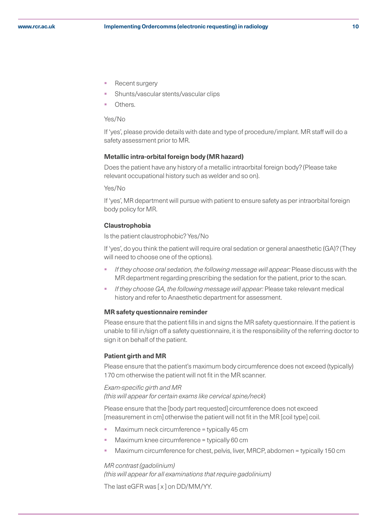- § Recent surgery
- § Shunts/vascular stents/vascular clips
- Others.

#### Yes/No

If 'yes', please provide details with date and type of procedure/implant. MR staff will do a safety assessment prior to MR.

#### **Metallic intra-orbital foreign body (MR hazard)**

Does the patient have any history of a metallic intraorbital foreign body? (Please take relevant occupational history such as welder and so on).

Yes/No

If 'yes', MR department will pursue with patient to ensure safety as per intraorbital foreign body policy for MR.

#### **Claustrophobia**

Is the patient claustrophobic? Yes/No

If 'yes', do you think the patient will require oral sedation or general anaesthetic (GA)? (They will need to choose one of the options).

- § *If they choose oral sedation, the following message will appear:* Please discuss with the MR department regarding prescribing the sedation for the patient, prior to the scan.
- § *If they choose GA, the following message will appear:* Please take relevant medical history and refer to Anaesthetic department for assessment.

#### **MR safety questionnaire reminder**

Please ensure that the patient fills in and signs the MR safety questionnaire. If the patient is unable to fill in/sign off a safety questionnaire, it is the responsibility of the referring doctor to sign it on behalf of the patient.

#### **Patient girth and MR**

Please ensure that the patient's maximum body circumference does not exceed (typically) 170 cm otherwise the patient will not fit in the MR scanner.

#### *Exam-specific girth and MR*

*(this will appear for certain exams like cervical spine/neck*)

Please ensure that the [body part requested] circumference does not exceed [measurement in cm] otherwise the patient will not fit in the MR [coil type] coil.

- § Maximum neck circumference = typically 45 cm
- § Maximum knee circumference = typically 60 cm
- § Maximum circumference for chest, pelvis, liver, MRCP, abdomen = typically 150 cm

#### *MR contrast (gadolinium)*

*(this will appear for all examinations that require gadolinium)*

The last eGFR was [ x ] on DD/MM/YY.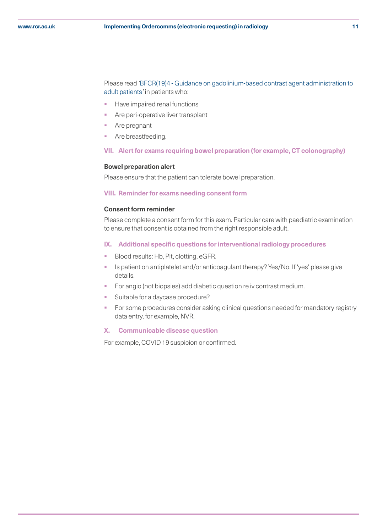Please read *'*[BFCR\(19\)4 - Guidance on gadolinium-based contrast agent administration to](https://www.rcr.ac.uk/publication/guidance-gadolinium-based-contrast-agent-administration-adult-patients)  [adult patients](https://www.rcr.ac.uk/publication/guidance-gadolinium-based-contrast-agent-administration-adult-patients)*'* in patients who:

- **•** Have impaired renal functions
- Are peri-operative liver transplant
- Are pregnant
- Are breastfeeding.

#### **VII. Alert for exams requiring bowel preparation (for example, CT colonography)**

#### **Bowel preparation alert**

Please ensure that the patient can tolerate bowel preparation.

#### **VIII. Reminder for exams needing consent form**

#### **Consent form reminder**

Please complete a consent form for this exam. Particular care with paediatric examination to ensure that consent is obtained from the right responsible adult.

#### **IX. Additional specific questions for interventional radiology procedures**

- Blood results: Hb, Plt, clotting, eGFR.
- Is patient on antiplatelet and/or anticoagulant therapy? Yes/No. If 'yes' please give details.
- **•** For angio (not biopsies) add diabetic question re iv contrast medium.
- Suitable for a daycase procedure?
- For some procedures consider asking clinical questions needed for mandatory registry data entry, for example, NVR.

#### **X. Communicable disease question**

For example, COVID 19 suspicion or confirmed.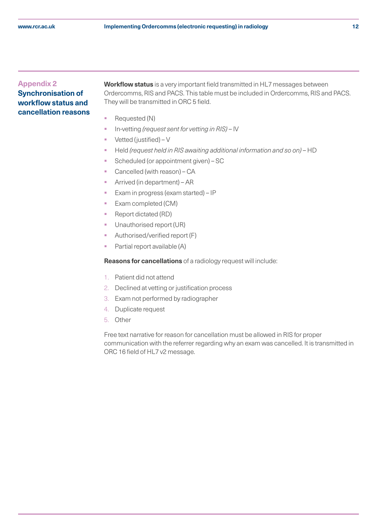# <span id="page-11-0"></span>**Appendix 2 Synchronisation of workflow status and cancellation reasons**

**Workflow status** is a very important field transmitted in HL7 messages between Ordercomms, RIS and PACS. This table must be included in Ordercomms, RIS and PACS. They will be transmitted in ORC 5 field.

- Requested (N)
- § In-vetting *(request sent for vetting in RIS)* IV
- $\blacksquare$  Vetted (justified) V
- § Held *(request held in RIS awaiting additional information and so on)* HD
- § Scheduled (or appointment given) SC
- Cancelled (with reason) CA
- § Arrived (in department) AR
- § Exam in progress (exam started) IP
- § Exam completed (CM)
- § Report dictated (RD)
- Unauthorised report (UR)
- § Authorised/verified report (F)
- Partial report available (A)

**Reasons for cancellations** of a radiology request will include:

- 1. Patient did not attend
- 2. Declined at vetting or justification process
- 3. Exam not performed by radiographer
- 4. Duplicate request
- 5. Other

Free text narrative for reason for cancellation must be allowed in RIS for proper communication with the referrer regarding why an exam was cancelled. It is transmitted in ORC 16 field of HL7 v2 message.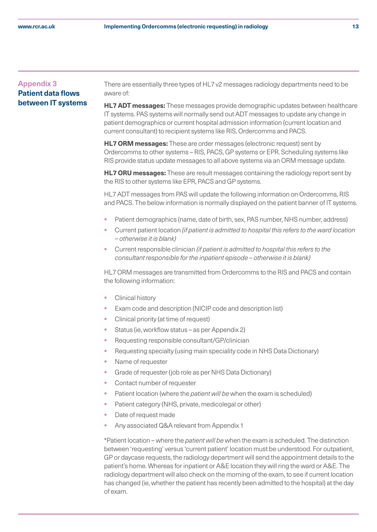# <span id="page-12-0"></span>**Appendix 3 Patient data flows between IT systems**

There are essentially three types of HL7 v2 messages radiology departments need to be aware of:

**HL7 ADT messages:** These messages provide demographic updates between healthcare IT systems. PAS systems will normally send out ADT messages to update any change in patient demographics or current hospital admission information (current location and current consultant) to recipient systems like RIS, Ordercomms and PACS.

**HL7 ORM messages:** These are order messages (electronic request) sent by Ordercomms to other systems – RIS, PACS, GP systems or EPR. Scheduling systems like RIS provide status update messages to all above systems via an ORM message update.

**HL7 ORU messages:** These are result messages containing the radiology report sent by the RIS to other systems like EPR, PACS and GP systems.

HL7 ADT messages from PAS will update the following information on Ordercomms, RIS and PACS. The below information is normally displayed on the patient banner of IT systems.

- § Patient demographics (name, date of birth, sex, PAS number, NHS number, address)
- § Current patient location *(if patient is admitted to hospital this refers to the ward location – otherwise it is blank)*
- § Current responsible clinician *(if patient is admitted to hospital this refers to the consultant responsible for the inpatient episode – otherwise it is blank)*

HL7 ORM messages are transmitted from Ordercomms to the RIS and PACS and contain the following information:

- Clinical history
- Exam code and description (NICIP code and description list)
- Clinical priority (at time of request)
- § Status (ie, workflow status as per Appendix 2)
- Requesting responsible consultant/GP/clinician
- Requesting specialty (using main speciality code in NHS Data Dictionary)
- Name of requester
- § Grade of requester (job role as per NHS Data Dictionary)
- Contact number of requester
- § Patient location (where the *patient will be* when the exam is scheduled)
- Patient category (NHS, private, medicolegal or other)
- Date of request made
- Any associated Q&A relevant from Appendix 1

\*Patient location – where the *patient will be* when the exam is scheduled. The distinction between 'requesting' versus 'current patient' location must be understood. For outpatient, GP or daycase requests, the radiology department will send the appointment details to the patient's home. Whereas for inpatient or A&E location they will ring the ward or A&E. The radiology department will also check on the morning of the exam, to see if current location has changed (ie, whether the patient has recently been admitted to the hospital) at the day of exam.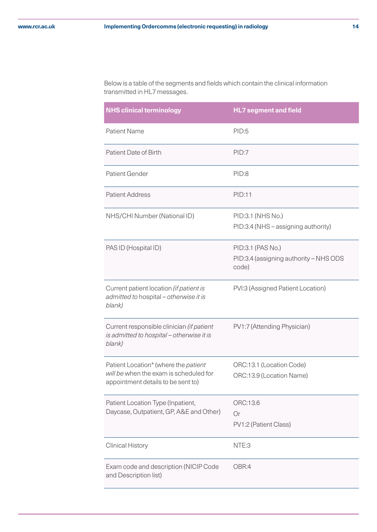Below is a table of the segments and fields which contain the clinical information transmitted in HL7 messages.

| <b>NHS clinical terminology</b>                                                                                      | <b>HL7 segment and field</b>                                         |
|----------------------------------------------------------------------------------------------------------------------|----------------------------------------------------------------------|
| <b>Patient Name</b>                                                                                                  | PID:5                                                                |
| Patient Date of Birth                                                                                                | PID:7                                                                |
| Patient Gender                                                                                                       | PID:8                                                                |
| <b>Patient Address</b>                                                                                               | <b>PID:11</b>                                                        |
| NHS/CHI Number (National ID)                                                                                         | PID:3.1 (NHS No.)<br>PID:3.4 (NHS – assigning authority)             |
| PAS ID (Hospital ID)                                                                                                 | PID:3.1 (PAS No.)<br>PID:3.4 (assigning authority - NHS ODS<br>code) |
| Current patient location (if patient is<br>admitted to hospital - otherwise it is<br>blank)                          | PVI:3 (Assigned Patient Location)                                    |
| Current responsible clinician (if patient<br>is admitted to hospital - otherwise it is<br>blank)                     | PV1:7 (Attending Physician)                                          |
| Patient Location* (where the patient<br>will be when the exam is scheduled for<br>appointment details to be sent to) | ORC:13.1 (Location Code)<br>ORC:13.9 (Location Name)                 |
| Patient Location Type (Inpatient,<br>Daycase, Outpatient, GP, A&E and Other)                                         | ORC:13.6<br>Or<br>PV1:2 (Patient Class)                              |
| <b>Clinical History</b>                                                                                              | NTE:3                                                                |
| Exam code and description (NICIP Code<br>and Description list)                                                       | OBR:4                                                                |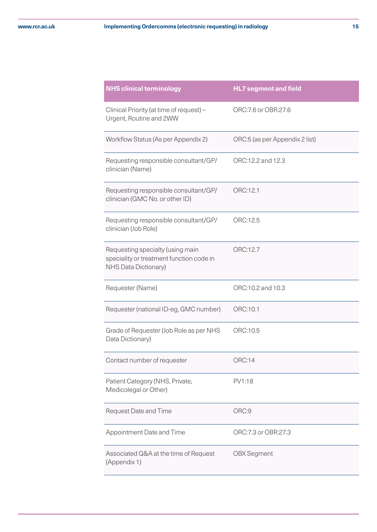| <b>NHS clinical terminology</b>                                                                      | <b>HL7</b> segment and field   |
|------------------------------------------------------------------------------------------------------|--------------------------------|
| Clinical Priority (at time of request) -<br>Urgent, Routine and 2WW                                  | ORC:7.6 or OBR:27.6            |
| Workflow Status (As per Appendix 2)                                                                  | ORC:5 (as per Appendix 2 list) |
| Requesting responsible consultant/GP/<br>clinician (Name)                                            | ORC:12.2 and 12.3              |
| Requesting responsible consultant/GP/<br>clinician (GMC No. or other ID)                             | ORC:12.1                       |
| Requesting responsible consultant/GP/<br>clinician (Job Role)                                        | ORC:12.5                       |
| Requesting specialty (using main<br>speciality or treatment function code in<br>NHS Data Dictionary) | ORC:12.7                       |
| Requester (Name)                                                                                     | ORC:10.2 and 10.3              |
| Requester (national ID-eg, GMC number)                                                               | ORC:10.1                       |
| Grade of Requester (Job Role as per NHS<br>Data Dictionary)                                          | ORC:10.5                       |
| Contact number of requester                                                                          | <b>ORC:14</b>                  |
| Patient Category (NHS, Private,<br>Medicolegal or Other)                                             | PV1:18                         |
| <b>Request Date and Time</b>                                                                         | ORC:9                          |
| Appointment Date and Time                                                                            | ORC:7.3 or OBR:27.3            |
| Associated Q&A at the time of Request<br>(Appendix 1)                                                | <b>OBX Segment</b>             |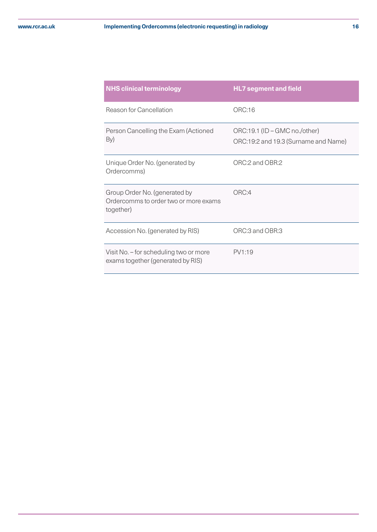| <b>NHS clinical terminology</b>                                                     | <b>HL7 segment and field</b>                                          |
|-------------------------------------------------------------------------------------|-----------------------------------------------------------------------|
| Reason for Cancellation                                                             | ORC:16                                                                |
| Person Cancelling the Exam (Actioned<br>By)                                         | ORC:19.1 (ID - GMC no./other)<br>ORC:19:2 and 19.3 (Surname and Name) |
| Unique Order No. (generated by<br>Ordercomms)                                       | ORC:2 and OBR:2                                                       |
| Group Order No. (generated by<br>Ordercomms to order two or more exams<br>together) | ORC:4                                                                 |
| Accession No. (generated by RIS)                                                    | ORC:3 and OBR:3                                                       |
| Visit No. - for scheduling two or more<br>exams together (generated by RIS)         | PV1:19                                                                |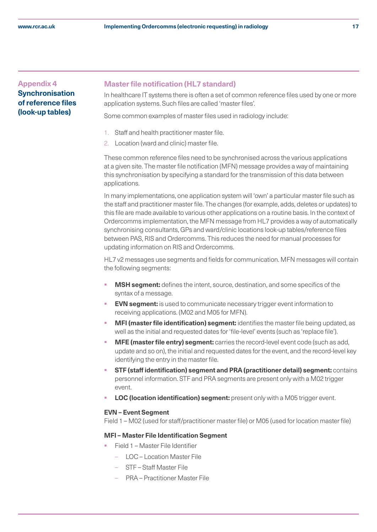# <span id="page-16-0"></span>**Appendix 4 Synchronisation of reference files (look-up tables)**

#### **Master file notification (HL7 standard)**

In healthcare IT systems there is often a set of common reference files used by one or more application systems. Such files are called 'master files'.

Some common examples of master files used in radiology include:

- 1. Staff and health practitioner master file.
- 2. Location (ward and clinic) master file.

These common reference files need to be synchronised across the various applications at a given site. The master file notification (MFN) message provides a way of maintaining this synchronisation by specifying a standard for the transmission of this data between applications.

In many implementations, one application system will 'own' a particular master file such as the staff and practitioner master file. The changes (for example, adds, deletes or updates) to this file are made available to various other applications on a routine basis. In the context of Ordercomms implementation, the MFN message from HL7 provides a way of automatically synchronising consultants, GPs and ward/clinic locations look-up tables/reference files between PAS, RIS and Ordercomms. This reduces the need for manual processes for updating information on RIS and Ordercomms.

HL7 v2 messages use segments and fields for communication. MFN messages will contain the following segments:

- **MSH segment:** defines the intent, source, destination, and some specifics of the syntax of a message.
- **EVN segment:** is used to communicate necessary trigger event information to receiving applications. (M02 and M05 for MFN).
- § **MFI (master file identification) segment:** identifies the master file being updated, as well as the initial and requested dates for 'file-level' events (such as 'replace file').
- **MFE (master file entry) segment:** carries the record-level event code (such as add, update and so on), the initial and requested dates for the event, and the record-level key identifying the entry in the master file.
- § **STF (staff identification) segment and PRA (practitioner detail) segment:** contains personnel information. STF and PRA segments are present only with a M02 trigger event.
- **LOC (location identification) segment:** present only with a M05 trigger event.

#### **EVN – Event Segment**

Field 1 – M02 (used for staff/practitioner master file) or M05 (used for location master file)

#### **MFI – Master File Identification Segment**

- § Field 1 Master File Identifier
	- LOC Location Master File
	- STF Staff Master File
	- PRA Practitioner Master File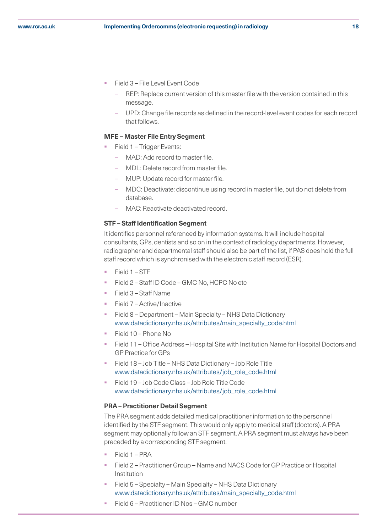- § Field 3 File Level Event Code
	- REP: Replace current version of this master file with the version contained in this message.
	- UPD: Change file records as defined in the record-level event codes for each record that follows.

#### **MFE – Master File Entry Segment**

- Field 1 Trigger Events:
	- MAD: Add record to master file.
	- MDL: Delete record from master file.
	- MUP: Update record for master file.
	- MDC: Deactivate: discontinue using record in master file, but do not delete from database.
	- MAC: Reactivate deactivated record.

#### **STF – Staff Identification Segment**

It identifies personnel referenced by information systems. It will include hospital consultants, GPs, dentists and so on in the context of radiology departments. However, radiographer and departmental staff should also be part of the list, if PAS does hold the full staff record which is synchronised with the electronic staff record (ESR).

- § Field 1 STF
- Field 2 Staff ID Code GMC No, HCPC No etc
- § Field 3 Staff Name
- § Field 7 Active/Inactive
- § Field 8 Department Main Specialty NHS Data Dictionary [www.datadictionary.nhs.uk/attributes/main\\_specialty\\_code.html](https://www.datadictionary.nhs.uk/attributes/main_specialty_code.html)
- § Field 10 Phone No
- § Field 11 Office Address Hospital Site with Institution Name for Hospital Doctors and GP Practice for GPs
- § Field 18 Job Title NHS Data Dictionary Job Role Title [www.datadictionary.nhs.uk/attributes/job\\_role\\_code.html](https://www.datadictionary.nhs.uk/attributes/job_role_code.html)
- § Field 19 Job Code Class Job Role Title Code www.datadictionary.nhs.uk/attributes/job\_role\_code.html

#### **PRA – Practitioner Detail Segment**

The PRA segment adds detailed medical practitioner information to the personnel identified by the STF segment. This would only apply to medical staff (doctors). A PRA segment may optionally follow an STF segment. A PRA segment must always have been preceded by a corresponding STF segment.

- § Field 1 PRA
- § Field 2 Practitioner Group Name and NACS Code for GP Practice or Hospital Institution
- § Field 5 Specialty Main Specialty NHS Data Dictionary www.datadictionary.nhs.uk/attributes/main\_specialty\_code.html
- § Field 6 Practitioner ID Nos GMC number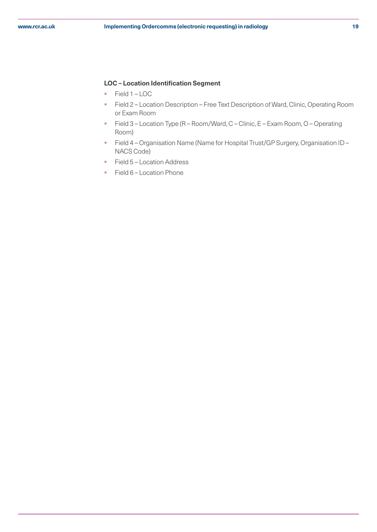#### **LOC – Location Identification Segment**

- Field 1 LOC
- **Field 2 Location Description Free Text Description of Ward, Clinic, Operating Room** or Exam Room
- Field 3 Location Type (R Room/Ward, C Clinic, E Exam Room, O Operating Room)
- Field 4 Organisation Name (Name for Hospital Trust/GP Surgery, Organisation ID NACS Code)
- Field 5 Location Address
- Field 6 Location Phone